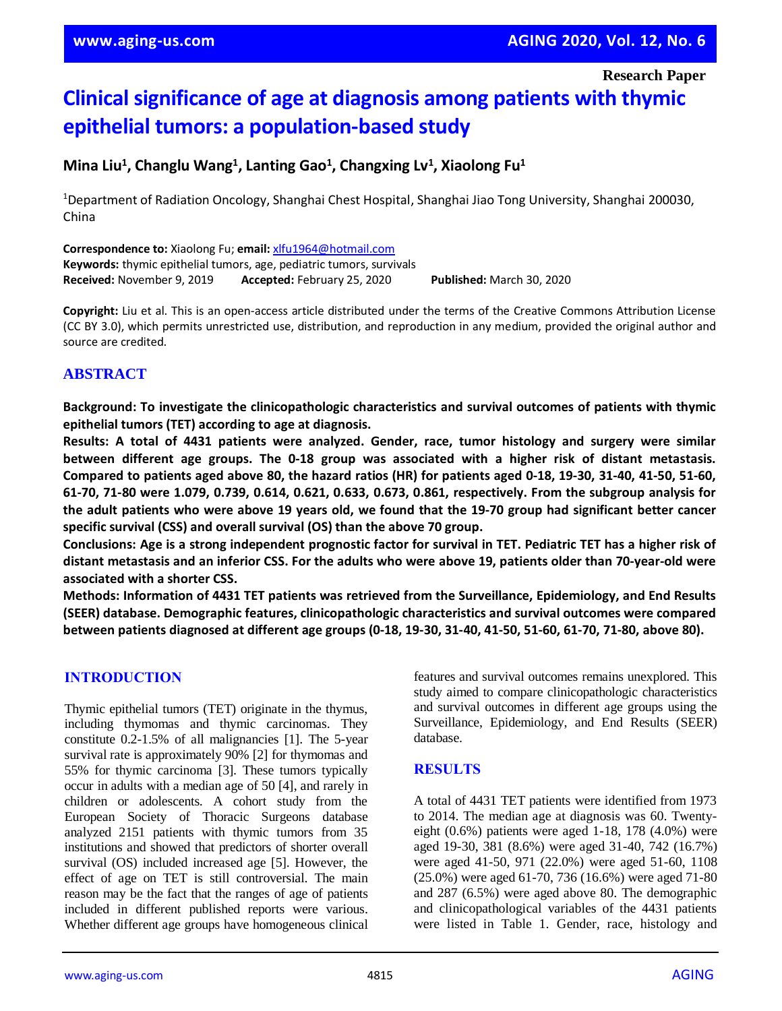**Research Paper**

# **Clinical significance of age at diagnosis among patients with thymic epithelial tumors: a population-based study**

## **Mina Liu<sup>1</sup>, Changlu Wang<sup>1</sup>, Lanting Gao<sup>1</sup>, Changxing Lv<sup>1</sup>, Xiaolong Fu<sup>1</sup>**

<sup>1</sup>Department of Radiation Oncology, Shanghai Chest Hospital, Shanghai Jiao Tong University, Shanghai 200030, China

**Correspondence to:** Xiaolong Fu; **email:** [xlfu1964@hotmail.com](mailto:xlfu1964@hotmail.com) **Keywords:** thymic epithelial tumors, age, pediatric tumors, survivals **Received:** November 9, 2019 **Accepted:** February 25, 2020 **Published:** March 30, 2020

**Copyright:** Liu et al. This is an open-access article distributed under the terms of the Creative Commons Attribution License (CC BY 3.0), which permits unrestricted use, distribution, and reproduction in any medium, provided the original author and source are credited.

## **ABSTRACT**

**Background: To investigate the clinicopathologic characteristics and survival outcomes of patients with thymic epithelial tumors (TET) according to age at diagnosis.**

**Results: A total of 4431 patients were analyzed. Gender, race, tumor histology and surgery were similar between different age groups. The 0-18 group was associated with a higher risk of distant metastasis.** Compared to patients aged above 80, the hazard ratios (HR) for patients aged 0-18, 19-30, 31-40, 41-50, 51-60, **61-70, 71-80 were 1.079, 0.739, 0.614, 0.621, 0.633, 0.673, 0.861, respectively. From the subgroup analysis for** the adult patients who were above 19 years old, we found that the 19-70 group had significant better cancer **specific survival (CSS) and overall survival (OS) than the above 70 group.**

Conclusions: Age is a strong independent prognostic factor for survival in TET. Pediatric TET has a higher risk of distant metastasis and an inferior CSS. For the adults who were above 19, patients older than 70-year-old were **associated with a shorter CSS.**

**Methods: Information of 4431 TET patients was retrieved from the Surveillance, Epidemiology, and End Results (SEER) database. Demographic features, clinicopathologic characteristics and survival outcomes were compared between patients diagnosed at different age groups (0-18, 19-30, 31-40, 41-50, 51-60, 61-70, 71-80, above 80).**

## **INTRODUCTION**

Thymic epithelial tumors (TET) originate in the thymus, including thymomas and thymic carcinomas. They constitute 0.2-1.5% of all malignancies [1]. The 5-year survival rate is approximately 90% [2] for thymomas and 55% for thymic carcinoma [3]. These tumors typically occur in adults with a median age of 50 [4], and rarely in children or adolescents. A cohort study from the European Society of Thoracic Surgeons database analyzed 2151 patients with thymic tumors from 35 institutions and showed that predictors of shorter overall survival (OS) included increased age [5]. However, the effect of age on TET is still controversial. The main reason may be the fact that the ranges of age of patients included in different published reports were various. Whether different age groups have homogeneous clinical

features and survival outcomes remains unexplored. This study aimed to compare clinicopathologic characteristics and survival outcomes in different age groups using the Surveillance, Epidemiology, and End Results (SEER) database.

#### **RESULTS**

A total of 4431 TET patients were identified from 1973 to 2014. The median age at diagnosis was 60. Twentyeight (0.6%) patients were aged 1-18, 178 (4.0%) were aged 19-30, 381 (8.6%) were aged 31-40, 742 (16.7%) were aged 41-50, 971 (22.0%) were aged 51-60, 1108 (25.0%) were aged 61-70, 736 (16.6%) were aged 71-80 and 287 (6.5%) were aged above 80. The demographic and clinicopathological variables of the 4431 patients were listed in Table 1. Gender, race, histology and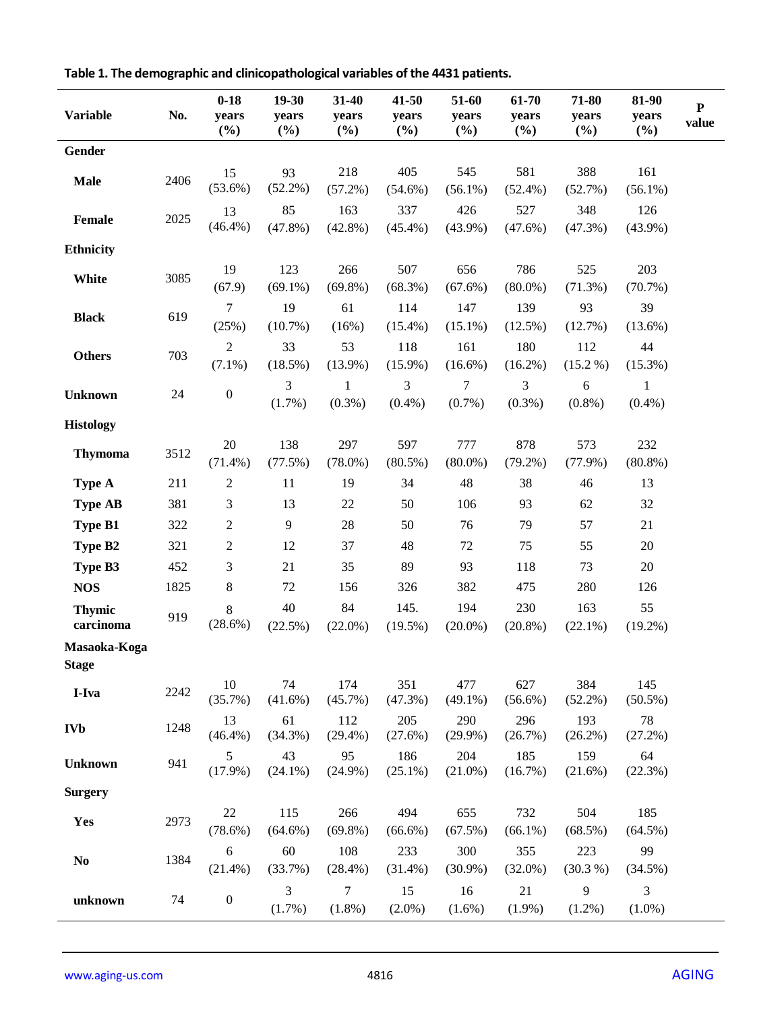| <b>Variable</b>              | No.  | $0 - 18$<br>years<br>(%)    | $19 - 30$<br>years<br>(%) | 31-40<br>years<br>$(\%)$ | $41 - 50$<br>years<br>$(\%)$ | 51-60<br>years<br>$(\%)$ | 61-70<br>years<br>$(\%)$ | 71-80<br>years<br>$(\%)$ | 81-90<br>years<br>(%)       | ${\bf P}$<br>value |
|------------------------------|------|-----------------------------|---------------------------|--------------------------|------------------------------|--------------------------|--------------------------|--------------------------|-----------------------------|--------------------|
| Gender                       |      |                             |                           |                          |                              |                          |                          |                          |                             |                    |
| <b>Male</b>                  | 2406 | 15<br>$(53.6\%)$            | 93<br>$(52.2\%)$          | 218<br>$(57.2\%)$        | 405<br>$(54.6\%)$            | 545<br>$(56.1\%)$        | 581<br>$(52.4\%)$        | 388<br>(52.7%)           | 161<br>$(56.1\%)$           |                    |
| Female                       | 2025 | 13<br>$(46.4\%)$            | 85<br>$(47.8\%)$          | 163<br>$(42.8\%)$        | 337<br>$(45.4\%)$            | 426<br>$(43.9\%)$        | 527<br>$(47.6\%)$        | 348<br>$(47.3\%)$        | 126<br>$(43.9\%)$           |                    |
| <b>Ethnicity</b>             |      |                             |                           |                          |                              |                          |                          |                          |                             |                    |
| White                        | 3085 | 19<br>(67.9)                | 123<br>$(69.1\%)$         | 266<br>$(69.8\%)$        | 507<br>$(68.3\%)$            | 656<br>$(67.6\%)$        | 786<br>$(80.0\%)$        | 525<br>$(71.3\%)$        | 203<br>(70.7%)              |                    |
| <b>Black</b>                 | 619  | 7<br>(25%)                  | 19<br>$(10.7\%)$          | 61<br>(16%)              | 114<br>$(15.4\%)$            | 147<br>$(15.1\%)$        | 139<br>$(12.5\%)$        | 93<br>(12.7%)            | 39<br>$(13.6\%)$            |                    |
| <b>Others</b>                | 703  | $\overline{2}$<br>$(7.1\%)$ | 33<br>$(18.5\%)$          | 53<br>$(13.9\%)$         | 118<br>$(15.9\%)$            | 161<br>$(16.6\%)$        | 180<br>$(16.2\%)$        | 112<br>$(15.2\%)$        | 44<br>$(15.3\%)$            |                    |
| <b>Unknown</b>               | 24   | $\boldsymbol{0}$            | 3<br>(1.7%)               | 1<br>$(0.3\%)$           | 3<br>$(0.4\%)$               | 7<br>$(0.7\%)$           | 3<br>$(0.3\%)$           | 6<br>$(0.8\%)$           | 1<br>$(0.4\%)$              |                    |
| <b>Histology</b>             |      |                             |                           |                          |                              |                          |                          |                          |                             |                    |
| <b>Thymoma</b>               | 3512 | 20<br>$(71.4\%)$            | 138<br>(77.5%)            | 297<br>$(78.0\%)$        | 597<br>$(80.5\%)$            | 777<br>$(80.0\%)$        | 878<br>$(79.2\%)$        | 573<br>$(77.9\%)$        | 232<br>$(80.8\%)$           |                    |
| Type A                       | 211  | $\sqrt{2}$                  | 11                        | 19                       | 34                           | 48                       | 38                       | 46                       | 13                          |                    |
| <b>Type AB</b>               | 381  | 3                           | 13                        | 22                       | 50                           | 106                      | 93                       | 62                       | 32                          |                    |
| <b>Type B1</b>               | 322  | $\boldsymbol{2}$            | 9                         | $28\,$                   | 50                           | 76                       | 79                       | 57                       | 21                          |                    |
| Type B2                      | 321  | $\boldsymbol{2}$            | 12                        | 37                       | 48                           | 72                       | 75                       | 55                       | 20                          |                    |
| Type B3                      | 452  | 3                           | 21                        | 35                       | 89                           | 93                       | 118                      | 73                       | 20                          |                    |
| <b>NOS</b>                   | 1825 | $8\,$                       | $72\,$                    | 156                      | 326                          | 382                      | 475                      | 280                      | 126                         |                    |
| <b>Thymic</b><br>carcinoma   | 919  | $8\,$<br>$(28.6\%)$         | $40\,$<br>(22.5%)         | 84<br>$(22.0\%)$         | 145.<br>$(19.5\%)$           | 194<br>$(20.0\%)$        | 230<br>$(20.8\%)$        | 163<br>$(22.1\%)$        | 55<br>$(19.2\%)$            |                    |
| Masaoka-Koga<br><b>Stage</b> |      |                             |                           |                          |                              |                          |                          |                          |                             |                    |
| I-Iva                        | 2242 | 10<br>(35.7%)               | 74<br>$(41.6\%)$          | 174<br>(45.7%)           | 351<br>(47.3%)               | 477<br>$(49.1\%)$        | 627<br>$(56.6\%)$        | 384<br>$(52.2\%)$        | 145<br>$(50.5\%)$           |                    |
| <b>IVb</b>                   | 1248 | 13<br>$(46.4\%)$            | 61<br>$(34.3\%)$          | 112<br>$(29.4\%)$        | 205<br>(27.6%)               | 290<br>$(29.9\%)$        | 296<br>(26.7%)           | 193<br>$(26.2\%)$        | 78<br>$(27.2\%)$            |                    |
| <b>Unknown</b>               | 941  | 5<br>$(17.9\%)$             | 43<br>$(24.1\%)$          | 95<br>$(24.9\%)$         | 186<br>$(25.1\%)$            | 204<br>$(21.0\%)$        | 185<br>$(16.7\%)$        | 159<br>(21.6%)           | 64<br>(22.3%)               |                    |
| <b>Surgery</b>               |      |                             |                           |                          |                              |                          |                          |                          |                             |                    |
| Yes                          | 2973 | $22\,$<br>(78.6%)           | 115<br>$(64.6\%)$         | 266<br>$(69.8\%)$        | 494<br>$(66.6\%)$            | 655<br>(67.5%)           | 732<br>$(66.1\%)$        | 504<br>(68.5%)           | 185<br>$(64.5\%)$           |                    |
| No                           | 1384 | $\sqrt{6}$<br>$(21.4\%)$    | 60<br>(33.7%)             | 108<br>$(28.4\%)$        | 233<br>$(31.4\%)$            | 300<br>$(30.9\%)$        | 355<br>$(32.0\%)$        | 223<br>(30.3 %)          | 99<br>(34.5%)               |                    |
| unknown                      | 74   | $\boldsymbol{0}$            | 3<br>(1.7%)               | 7<br>$(1.8\%)$           | 15<br>$(2.0\%)$              | 16<br>$(1.6\%)$          | 21<br>$(1.9\%)$          | 9<br>$(1.2\%)$           | $\mathfrak{Z}$<br>$(1.0\%)$ |                    |

**Table 1. The demographic and clinicopathological variables of the 4431 patients.**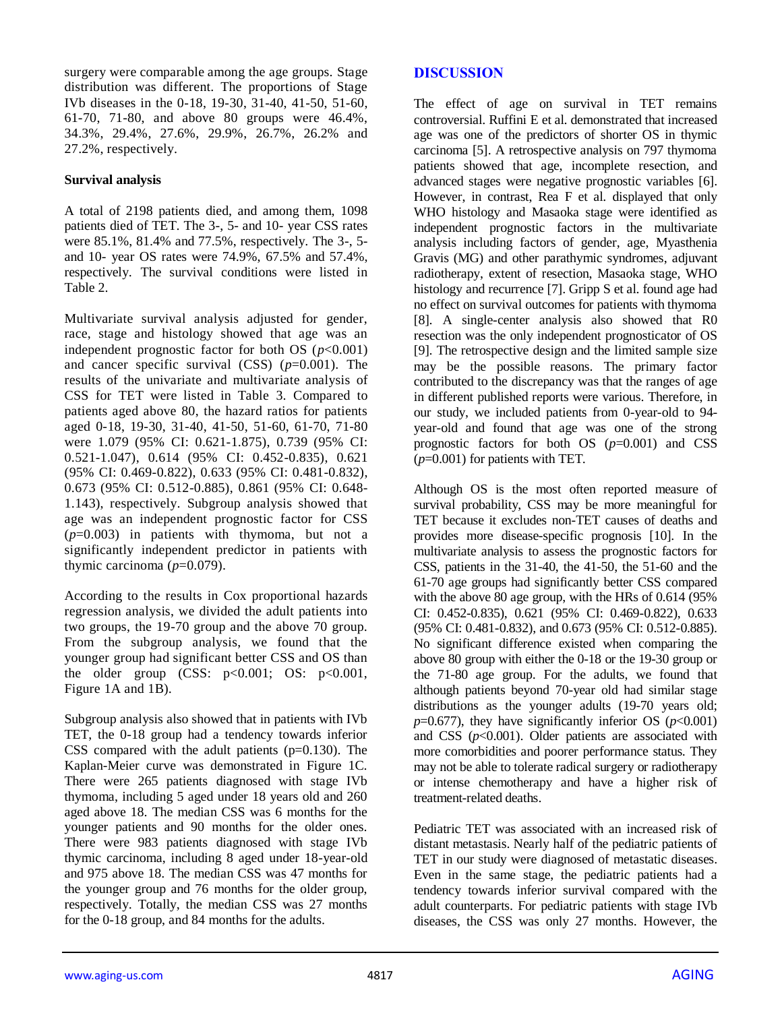surgery were comparable among the age groups. Stage distribution was different. The proportions of Stage IVb diseases in the 0-18, 19-30, 31-40, 41-50, 51-60, 61-70, 71-80, and above 80 groups were 46.4%, 34.3%, 29.4%, 27.6%, 29.9%, 26.7%, 26.2% and 27.2%, respectively.

#### **Survival analysis**

A total of 2198 patients died, and among them, 1098 patients died of TET. The 3-, 5- and 10- year CSS rates were 85.1%, 81.4% and 77.5%, respectively. The 3-, 5 and 10- year OS rates were 74.9%, 67.5% and 57.4%, respectively. The survival conditions were listed in Table 2.

Multivariate survival analysis adjusted for gender, race, stage and histology showed that age was an independent prognostic factor for both OS  $(p<0.001)$ and cancer specific survival (CSS) (*p*=0.001). The results of the univariate and multivariate analysis of CSS for TET were listed in Table 3. Compared to patients aged above 80, the hazard ratios for patients aged 0-18, 19-30, 31-40, 41-50, 51-60, 61-70, 71-80 were 1.079 (95% CI: 0.621-1.875), 0.739 (95% CI: 0.521-1.047), 0.614 (95% CI: 0.452-0.835), 0.621 (95% CI: 0.469-0.822), 0.633 (95% CI: 0.481-0.832), 0.673 (95% CI: 0.512-0.885), 0.861 (95% CI: 0.648- 1.143), respectively. Subgroup analysis showed that age was an independent prognostic factor for CSS (*p*=0.003) in patients with thymoma, but not a significantly independent predictor in patients with thymic carcinoma  $(p=0.079)$ .

According to the results in Cox proportional hazards regression analysis, we divided the adult patients into two groups, the 19-70 group and the above 70 group. From the subgroup analysis, we found that the younger group had significant better CSS and OS than the older group  $(CSS: p<0.001; OS: p<0.001,$ Figure 1A and 1B).

Subgroup analysis also showed that in patients with IVb TET, the 0-18 group had a tendency towards inferior CSS compared with the adult patients  $(p=0.130)$ . The Kaplan-Meier curve was demonstrated in Figure 1C. There were 265 patients diagnosed with stage IVb thymoma, including 5 aged under 18 years old and 260 aged above 18. The median CSS was 6 months for the younger patients and 90 months for the older ones. There were 983 patients diagnosed with stage IVb thymic carcinoma, including 8 aged under 18-year-old and 975 above 18. The median CSS was 47 months for the younger group and 76 months for the older group, respectively. Totally, the median CSS was 27 months for the 0-18 group, and 84 months for the adults.

## **DISCUSSION**

The effect of age on survival in TET remains controversial. Ruffini E et al. demonstrated that increased age was one of the predictors of shorter OS in thymic carcinoma [5]. A retrospective analysis on 797 thymoma patients showed that age, incomplete resection, and advanced stages were negative prognostic variables [6]. However, in contrast, Rea F et al. displayed that only WHO histology and Masaoka stage were identified as independent prognostic factors in the multivariate analysis including factors of gender, age, Myasthenia Gravis (MG) and other parathymic syndromes, adjuvant radiotherapy, extent of resection, Masaoka stage, WHO histology and recurrence [7]. Gripp S et al. found age had no effect on survival outcomes for patients with thymoma [8]. A single-center analysis also showed that R0 resection was the only independent prognosticator of OS [9]. The retrospective design and the limited sample size may be the possible reasons. The primary factor contributed to the discrepancy was that the ranges of age in different published reports were various. Therefore, in our study, we included patients from 0-year-old to 94 year-old and found that age was one of the strong prognostic factors for both OS (*p*=0.001) and CSS (*p*=0.001) for patients with TET.

Although OS is the most often reported measure of survival probability, CSS may be more meaningful for TET because it excludes non-TET causes of deaths and provides more disease-specific prognosis [10]. In the multivariate analysis to assess the prognostic factors for CSS, patients in the 31-40, the 41-50, the 51-60 and the 61-70 age groups had significantly better CSS compared with the above 80 age group, with the HRs of 0.614 (95% CI: 0.452-0.835), 0.621 (95% CI: 0.469-0.822), 0.633 (95% CI: 0.481-0.832), and 0.673 (95% CI: 0.512-0.885). No significant difference existed when comparing the above 80 group with either the 0-18 or the 19-30 group or the 71-80 age group. For the adults, we found that although patients beyond 70-year old had similar stage distributions as the younger adults (19-70 years old;  $p=0.677$ , they have significantly inferior OS ( $p<0.001$ ) and CSS  $(p<0.001)$ . Older patients are associated with more comorbidities and poorer performance status. They may not be able to tolerate radical surgery or radiotherapy or intense chemotherapy and have a higher risk of treatment-related deaths.

Pediatric TET was associated with an increased risk of distant metastasis. Nearly half of the pediatric patients of TET in our study were diagnosed of metastatic diseases. Even in the same stage, the pediatric patients had a tendency towards inferior survival compared with the adult counterparts. For pediatric patients with stage IVb diseases, the CSS was only 27 months. However, the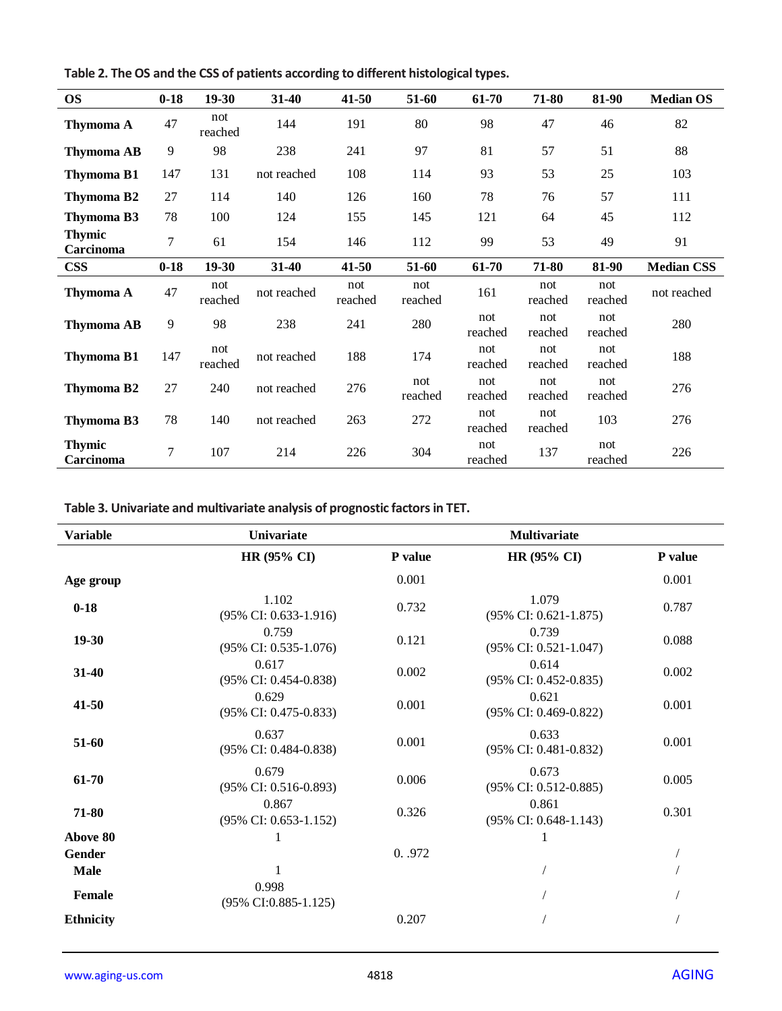| <b>OS</b>                  | $0 - 18$ | $19-30$        | $31 - 40$   | 41-50          | 51-60          | 61-70          | 71-80          | 81-90          | <b>Median OS</b>  |
|----------------------------|----------|----------------|-------------|----------------|----------------|----------------|----------------|----------------|-------------------|
| Thymoma A                  | 47       | not<br>reached | 144         | 191            | 80             | 98             | 47             | 46             | 82                |
| <b>Thymoma AB</b>          | 9        | 98             | 238         | 241            | 97             | 81             | 57             | 51             | 88                |
| <b>Thymoma B1</b>          | 147      | 131            | not reached | 108            | 114            | 93             | 53             | 25             | 103               |
| Thymoma B2                 | 27       | 114            | 140         | 126            | 160            | 78             | 76             | 57             | 111               |
| <b>Thymoma B3</b>          | 78       | 100            | 124         | 155            | 145            | 121            | 64             | 45             | 112               |
| <b>Thymic</b><br>Carcinoma | 7        | 61             | 154         | 146            | 112            | 99             | 53             | 49             | 91                |
| <b>CSS</b>                 | $0 - 18$ | $19-30$        | $31-40$     | 41-50          | 51-60          | 61-70          | 71-80          | 81-90          | <b>Median CSS</b> |
| <b>Thymoma A</b>           | 47       | not<br>reached | not reached | not<br>reached | not<br>reached | 161            | not<br>reached | not<br>reached | not reached       |
| <b>Thymoma AB</b>          | 9        | 98             | 238         | 241            | 280            | not<br>reached | not<br>reached | not<br>reached | 280               |
| <b>Thymoma B1</b>          | 147      | not<br>reached | not reached | 188            | 174            | not<br>reached | not<br>reached | not<br>reached | 188               |
| <b>Thymoma B2</b>          | 27       | 240            | not reached | 276            | not<br>reached | not<br>reached | not<br>reached | not<br>reached | 276               |
| Thymoma B3                 | 78       | 140            | not reached | 263            | 272            | not<br>reached | not<br>reached | 103            | 276               |
| <b>Thymic</b><br>Carcinoma | 7        | 107            | 214         | 226            | 304            | not<br>reached | 137            | not<br>reached | 226               |

**Table 2. The OS and the CSS of patients according to different histological types.**

**Table 3. Univariate and multivariate analysis of prognostic factors in TET.**

| <b>Variable</b>  | <b>Univariate</b>                            |         | <b>Multivariate</b>                          |         |
|------------------|----------------------------------------------|---------|----------------------------------------------|---------|
|                  | <b>HR (95% CI)</b>                           | P value | <b>HR (95% CI)</b>                           | P value |
| Age group        |                                              | 0.001   |                                              | 0.001   |
| $0 - 18$         | 1.102<br>(95% CI: 0.633-1.916)               | 0.732   | 1.079<br>(95% CI: 0.621-1.875)               | 0.787   |
| $19-30$          | 0.759<br>(95% CI: 0.535-1.076)               | 0.121   | 0.739<br>(95% CI: 0.521-1.047)               | 0.088   |
| $31 - 40$        | 0.617<br>(95% CI: 0.454-0.838)               | 0.002   | 0.614<br>(95% CI: 0.452-0.835)               | 0.002   |
| $41 - 50$        | 0.629<br>(95% CI: 0.475-0.833)               | 0.001   | 0.621<br>(95% CI: 0.469-0.822)               | 0.001   |
| 51-60            | 0.637<br>(95% CI: 0.484-0.838)               | 0.001   | 0.633<br>(95% CI: 0.481-0.832)               | 0.001   |
| 61-70            | 0.679<br>(95% CI: 0.516-0.893)               | 0.006   | 0.673<br>(95% CI: 0.512-0.885)               | 0.005   |
| 71-80            | 0.867<br>$(95\% \text{ CI: } 0.653 - 1.152)$ | 0.326   | 0.861<br>$(95\% \text{ CI: } 0.648 - 1.143)$ | 0.301   |
| Above 80         | 1                                            |         |                                              |         |
| Gender           |                                              | 0.972   |                                              |         |
| <b>Male</b>      | 1                                            |         |                                              |         |
| Female           | 0.998<br>(95% CI:0.885-1.125)                |         |                                              |         |
| <b>Ethnicity</b> |                                              | 0.207   |                                              |         |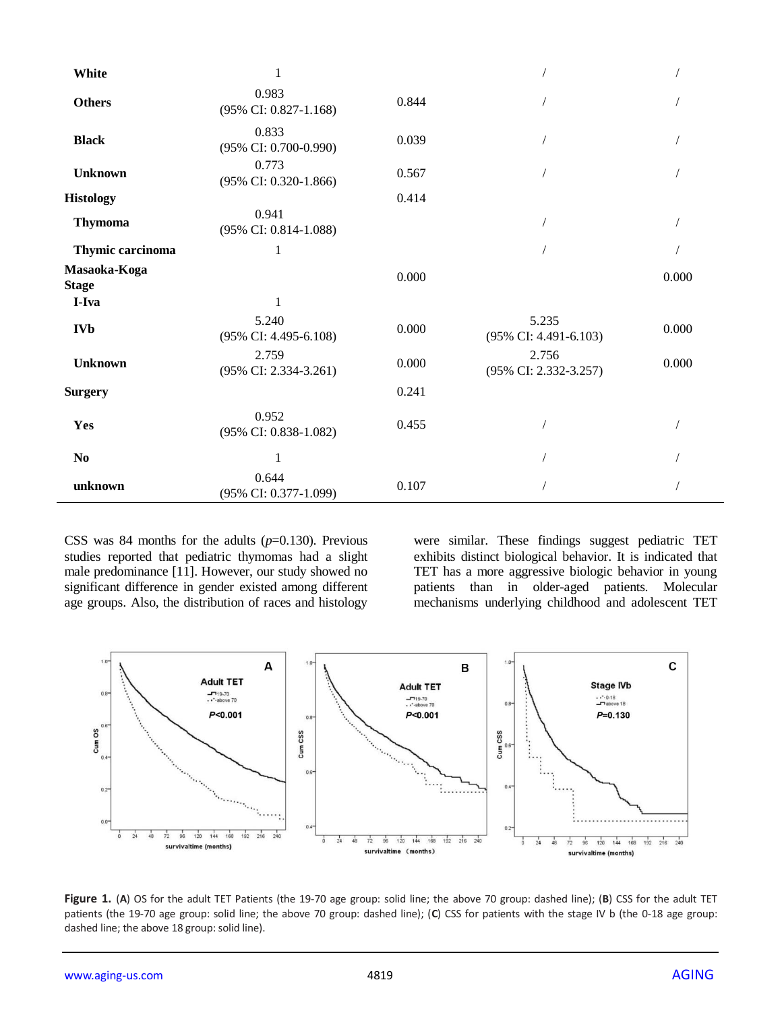| White                        | 1                              |       |                                |       |
|------------------------------|--------------------------------|-------|--------------------------------|-------|
| <b>Others</b>                | 0.983<br>(95% CI: 0.827-1.168) | 0.844 |                                |       |
| <b>Black</b>                 | 0.833<br>(95% CI: 0.700-0.990) | 0.039 |                                |       |
| <b>Unknown</b>               | 0.773<br>(95% CI: 0.320-1.866) | 0.567 |                                |       |
| <b>Histology</b>             |                                | 0.414 |                                |       |
| <b>Thymoma</b>               | 0.941<br>(95% CI: 0.814-1.088) |       |                                |       |
| Thymic carcinoma             | $\mathbf{1}$                   |       |                                |       |
| Masaoka-Koga<br><b>Stage</b> |                                | 0.000 |                                | 0.000 |
| I-Iva                        | 1                              |       |                                |       |
| <b>IVb</b>                   | 5.240<br>(95% CI: 4.495-6.108) | 0.000 | 5.235<br>(95% CI: 4.491-6.103) | 0.000 |
| <b>Unknown</b>               | 2.759<br>(95% CI: 2.334-3.261) | 0.000 | 2.756<br>(95% CI: 2.332-3.257) | 0.000 |
| <b>Surgery</b>               |                                | 0.241 |                                |       |
| Yes                          | 0.952<br>(95% CI: 0.838-1.082) | 0.455 |                                |       |
| $\bf No$                     | 1                              |       |                                |       |
| unknown                      | 0.644<br>(95% CI: 0.377-1.099) | 0.107 |                                |       |

CSS was 84 months for the adults (*p*=0.130). Previous studies reported that pediatric thymomas had a slight male predominance [11]. However, our study showed no significant difference in gender existed among different age groups. Also, the distribution of races and histology

were similar. These findings suggest pediatric TET exhibits distinct biological behavior. It is indicated that TET has a more aggressive biologic behavior in young patients than in older-aged patients. Molecular mechanisms underlying childhood and adolescent TET



**Figure 1.** (**A**) OS for the adult TET Patients (the 19-70 age group: solid line; the above 70 group: dashed line); (**B**) CSS for the adult TET patients (the 19-70 age group: solid line; the above 70 group: dashed line); (**C**) CSS for patients with the stage IV b (the 0-18 age group: dashed line; the above 18 group: solid line).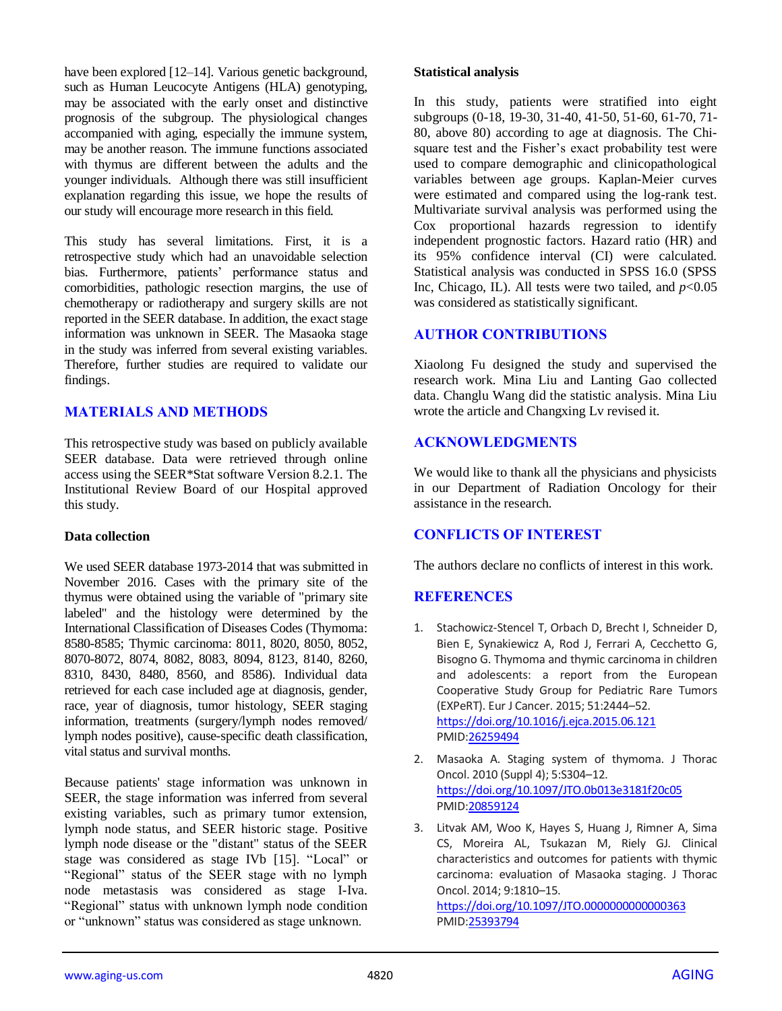have been explored [12–14]. Various genetic background, such as Human Leucocyte Antigens (HLA) genotyping, may be associated with the early onset and distinctive prognosis of the subgroup. The physiological changes accompanied with aging, especially the immune system, may be another reason. The immune functions associated with thymus are different between the adults and the younger individuals. Although there was still insufficient explanation regarding this issue, we hope the results of our study will encourage more research in this field.

This study has several limitations. First, it is a retrospective study which had an unavoidable selection bias. Furthermore, patients' performance status and comorbidities, pathologic resection margins, the use of chemotherapy or radiotherapy and surgery skills are not reported in the SEER database. In addition, the exact stage information was unknown in SEER. The Masaoka stage in the study was inferred from several existing variables. Therefore, further studies are required to validate our findings.

## **MATERIALS AND METHODS**

This retrospective study was based on publicly available SEER database. Data were retrieved through online access using the SEER\*Stat software Version 8.2.1. The Institutional Review Board of our Hospital approved this study.

#### **Data collection**

We used SEER database 1973-2014 that was submitted in November 2016. Cases with the primary site of the thymus were obtained using the variable of "primary site labeled" and the histology were determined by the International Classification of Diseases Codes (Thymoma: 8580-8585; Thymic carcinoma: 8011, 8020, 8050, 8052, 8070-8072, 8074, 8082, 8083, 8094, 8123, 8140, 8260, 8310, 8430, 8480, 8560, and 8586). Individual data retrieved for each case included age at diagnosis, gender, race, year of diagnosis, tumor histology, SEER staging information, treatments (surgery/lymph nodes removed/ lymph nodes positive), cause-specific death classification, vital status and survival months.

Because patients' stage information was unknown in SEER, the stage information was inferred from several existing variables, such as primary tumor extension, lymph node status, and SEER historic stage. Positive lymph node disease or the "distant" status of the SEER stage was considered as stage IVb [15]. "Local" or "Regional" status of the SEER stage with no lymph node metastasis was considered as stage I-Iva. "Regional" status with unknown lymph node condition or "unknown" status was considered as stage unknown.

#### **Statistical analysis**

In this study, patients were stratified into eight subgroups (0-18, 19-30, 31-40, 41-50, 51-60, 61-70, 71- 80, above 80) according to age at diagnosis. The Chisquare test and the Fisher's exact probability test were used to compare demographic and clinicopathological variables between age groups. Kaplan-Meier curves were estimated and compared using the log-rank test. Multivariate survival analysis was performed using the Cox proportional hazards regression to identify independent prognostic factors. Hazard ratio (HR) and its 95% confidence interval (CI) were calculated. Statistical analysis was conducted in SPSS 16.0 (SPSS Inc, Chicago, IL). All tests were two tailed, and  $p<0.05$ was considered as statistically significant.

#### **AUTHOR CONTRIBUTIONS**

Xiaolong Fu designed the study and supervised the research work. Mina Liu and Lanting Gao collected data. Changlu Wang did the statistic analysis. Mina Liu wrote the article and Changxing Lv revised it.

#### **ACKNOWLEDGMENTS**

We would like to thank all the physicians and physicists in our Department of Radiation Oncology for their assistance in the research.

#### **CONFLICTS OF INTEREST**

The authors declare no conflicts of interest in this work.

## **REFERENCES**

- 1. Stachowicz-Stencel T, Orbach D, Brecht I, Schneider D, Bien E, Synakiewicz A, Rod J, Ferrari A, Cecchetto G, Bisogno G. Thymoma and thymic carcinoma in children and adolescents: a report from the European Cooperative Study Group for Pediatric Rare Tumors (EXPeRT). Eur J Cancer. 2015; 51:2444–52. <https://doi.org/10.1016/j.ejca.2015.06.121> PMI[D:26259494](https://www.ncbi.nlm.nih.gov/pubmed/26259494)
- 2. Masaoka A. Staging system of thymoma. J Thorac Oncol. 2010 (Suppl 4); 5:S304–12. <https://doi.org/10.1097/JTO.0b013e3181f20c05> PMI[D:20859124](https://www.ncbi.nlm.nih.gov/pubmed/20859124)
- 3. Litvak AM, Woo K, Hayes S, Huang J, Rimner A, Sima CS, Moreira AL, Tsukazan M, Riely GJ. Clinical characteristics and outcomes for patients with thymic carcinoma: evaluation of Masaoka staging. J Thorac Oncol. 2014; 9:1810–15.

<https://doi.org/10.1097/JTO.0000000000000363> PMI[D:25393794](https://www.ncbi.nlm.nih.gov/pubmed/25393794)